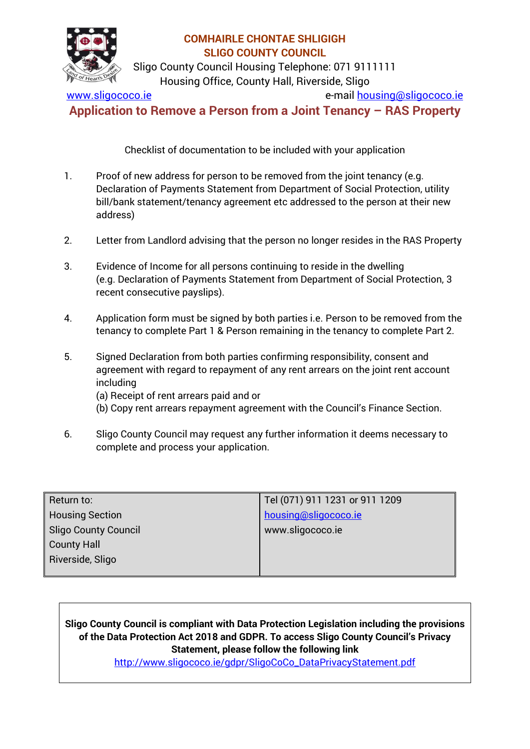

Sligo County Council Housing Telephone: 071 9111111 Housing Office, County Hall, Riverside, Sligo

[www.sligococo.ie](http://www.sligococo.ie/) e-mail [housing@sligococo.ie](mailto:housing@sligococo.ie)

**Application to Remove a Person from a Joint Tenancy – RAS Property**

Checklist of documentation to be included with your application

- 1. Proof of new address for person to be removed from the joint tenancy (e.g. Declaration of Payments Statement from Department of Social Protection, utility bill/bank statement/tenancy agreement etc addressed to the person at their new address)
- 2. Letter from Landlord advising that the person no longer resides in the RAS Property
- 3. Evidence of Income for all persons continuing to reside in the dwelling (e.g. Declaration of Payments Statement from Department of Social Protection, 3 recent consecutive payslips).
- 4. Application form must be signed by both parties i.e. Person to be removed from the tenancy to complete Part 1 & Person remaining in the tenancy to complete Part 2.
- 5. Signed Declaration from both parties confirming responsibility, consent and agreement with regard to repayment of any rent arrears on the joint rent account including
	- (a) Receipt of rent arrears paid and or
	- (b) Copy rent arrears repayment agreement with the Council's Finance Section.
- 6. Sligo County Council may request any further information it deems necessary to complete and process your application.

| Return to:                  | Tel (071) 911 1231 or 911 1209 |
|-----------------------------|--------------------------------|
| <b>Housing Section</b>      | housing@sligococo.ie           |
| <b>Sligo County Council</b> | www.sligococo.ie               |
| <b>County Hall</b>          |                                |
| Riverside, Sligo            |                                |
|                             |                                |

**Sligo County Council is compliant with Data Protection Legislation including the provisions of the Data Protection Act 2018 and GDPR. To access Sligo County Council's Privacy Statement, please follow the following link** 

[http://www.sligococo.ie/gdpr/SligoCoCo\\_DataPrivacyStatement.pdf](http://www.sligococo.ie/gdpr/SligoCoCo_DataPrivacyStatement.pdf)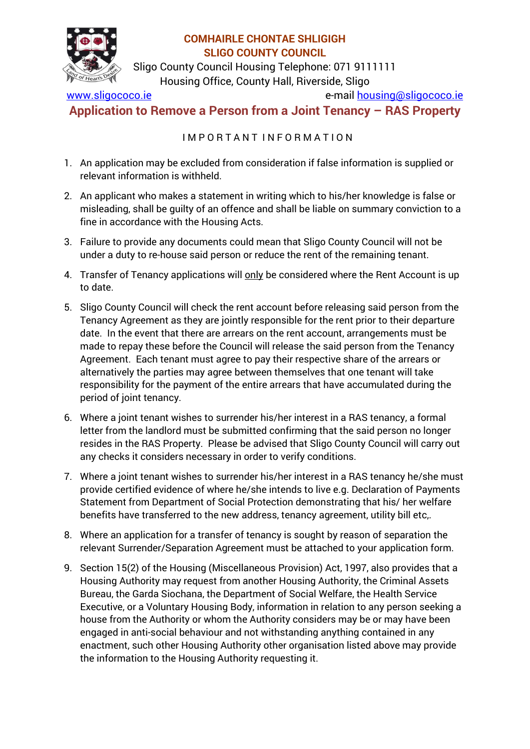

Sligo County Council Housing Telephone: 071 9111111 Housing Office, County Hall, Riverside, Sligo

[www.sligococo.ie](http://www.sligococo.ie/) e-mail [housing@sligococo.ie](mailto:housing@sligococo.ie)

**Application to Remove a Person from a Joint Tenancy – RAS Property**

I M P O R T A N T I N F O R M A T I O N

- 1. An application may be excluded from consideration if false information is supplied or relevant information is withheld.
- 2. An applicant who makes a statement in writing which to his/her knowledge is false or misleading, shall be guilty of an offence and shall be liable on summary conviction to a fine in accordance with the Housing Acts.
- 3. Failure to provide any documents could mean that Sligo County Council will not be under a duty to re-house said person or reduce the rent of the remaining tenant.
- 4. Transfer of Tenancy applications will only be considered where the Rent Account is up to date.
- 5. Sligo County Council will check the rent account before releasing said person from the Tenancy Agreement as they are jointly responsible for the rent prior to their departure date. In the event that there are arrears on the rent account, arrangements must be made to repay these before the Council will release the said person from the Tenancy Agreement. Each tenant must agree to pay their respective share of the arrears or alternatively the parties may agree between themselves that one tenant will take responsibility for the payment of the entire arrears that have accumulated during the period of joint tenancy.
- 6. Where a joint tenant wishes to surrender his/her interest in a RAS tenancy, a formal letter from the landlord must be submitted confirming that the said person no longer resides in the RAS Property. Please be advised that Sligo County Council will carry out any checks it considers necessary in order to verify conditions.
- 7. Where a joint tenant wishes to surrender his/her interest in a RAS tenancy he/she must provide certified evidence of where he/she intends to live e.g. Declaration of Payments Statement from Department of Social Protection demonstrating that his/ her welfare benefits have transferred to the new address, tenancy agreement, utility bill etc,.
- 8. Where an application for a transfer of tenancy is sought by reason of separation the relevant Surrender/Separation Agreement must be attached to your application form.
- 9. Section 15(2) of the Housing (Miscellaneous Provision) Act, 1997, also provides that a Housing Authority may request from another Housing Authority, the Criminal Assets Bureau, the Garda Siochana, the Department of Social Welfare, the Health Service Executive, or a Voluntary Housing Body, information in relation to any person seeking a house from the Authority or whom the Authority considers may be or may have been engaged in anti-social behaviour and not withstanding anything contained in any enactment, such other Housing Authority other organisation listed above may provide the information to the Housing Authority requesting it.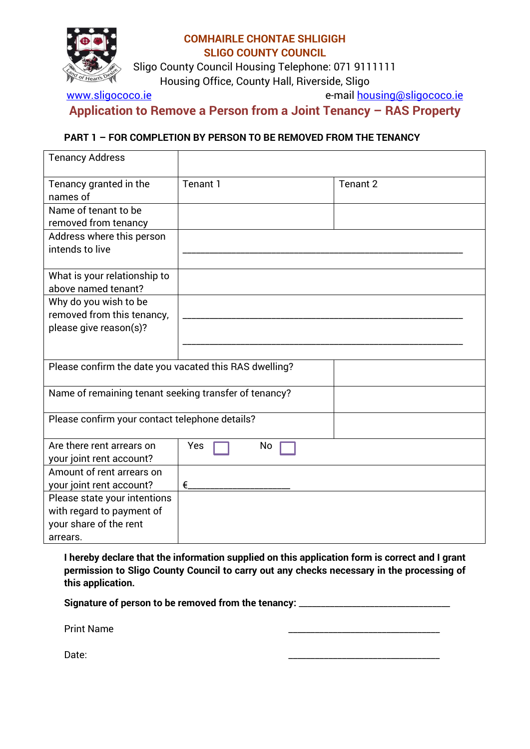

Sligo County Council Housing Telephone: 071 9111111 Housing Office, County Hall, Riverside, Sligo

[www.sligococo.ie](http://www.sligococo.ie/) e-mail [housing@sligococo.ie](mailto:housing@sligococo.ie)

**Application to Remove a Person from a Joint Tenancy – RAS Property**

#### **PART 1 – FOR COMPLETION BY PERSON TO BE REMOVED FROM THE TENANCY**

| <b>Tenancy Address</b>                                                                          |           |          |
|-------------------------------------------------------------------------------------------------|-----------|----------|
| Tenancy granted in the<br>names of                                                              | Tenant 1  | Tenant 2 |
| Name of tenant to be<br>removed from tenancy                                                    |           |          |
| Address where this person<br>intends to live                                                    |           |          |
| What is your relationship to<br>above named tenant?                                             |           |          |
| Why do you wish to be<br>removed from this tenancy,                                             |           |          |
| please give reason(s)?                                                                          |           |          |
|                                                                                                 |           |          |
| Please confirm the date you vacated this RAS dwelling?                                          |           |          |
| Name of remaining tenant seeking transfer of tenancy?                                           |           |          |
| Please confirm your contact telephone details?                                                  |           |          |
| Are there rent arrears on<br>your joint rent account?                                           | Yes<br>No |          |
| Amount of rent arrears on<br>your joint rent account?                                           | €         |          |
| Please state your intentions<br>with regard to payment of<br>your share of the rent<br>arrears. |           |          |

**I hereby declare that the information supplied on this application form is correct and I grant permission to Sligo County Council to carry out any checks necessary in the processing of this application.** 

Signature of person to be removed from the tenancy: **\_\_\_\_\_\_\_\_\_\_\_\_\_\_\_\_\_\_\_\_\_\_\_\_\_\_\_** 

Print Name \_\_\_\_\_\_\_\_\_\_\_\_\_\_\_\_\_\_\_\_\_\_\_\_\_\_\_\_\_\_\_\_\_\_

Date: \_\_\_\_\_\_\_\_\_\_\_\_\_\_\_\_\_\_\_\_\_\_\_\_\_\_\_\_\_\_\_\_\_\_